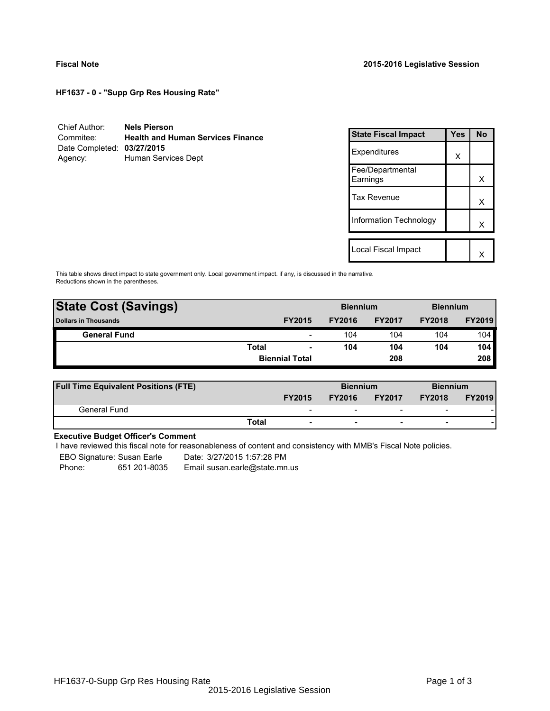**HF1637 - 0 - "Supp Grp Res Housing Rate"**

| Chief Author:              | <b>Nels Pierson</b>                      |
|----------------------------|------------------------------------------|
| Commitee:                  | <b>Health and Human Services Finance</b> |
| Date Completed: 03/27/2015 |                                          |
| Agency:                    | Human Services Dept                      |

| <b>State Fiscal Impact</b>   | Yes | <b>No</b> |
|------------------------------|-----|-----------|
| Expenditures                 | X   |           |
| Fee/Departmental<br>Earnings |     | х         |
| <b>Tax Revenue</b>           |     | x         |
| Information Technology       |     | x         |
|                              |     |           |
| Local Fiscal Impact          |     |           |

This table shows direct impact to state government only. Local government impact. if any, is discussed in the narrative. Reductions shown in the parentheses.

| <b>State Cost (Savings)</b> |              |                          | <b>Biennium</b> |               | <b>Biennium</b> |               |  |
|-----------------------------|--------------|--------------------------|-----------------|---------------|-----------------|---------------|--|
| <b>Dollars in Thousands</b> |              | <b>FY2015</b>            | <b>FY2016</b>   | <b>FY2017</b> | <b>FY2018</b>   | <b>FY2019</b> |  |
| <b>General Fund</b>         |              | $\overline{\phantom{a}}$ | 104             | 104           | 104             | 104           |  |
|                             | <b>Total</b> | $\blacksquare$           | 104             | 104           | 104             | 104           |  |
|                             |              | <b>Biennial Total</b>    |                 | 208           |                 | 208           |  |
|                             |              |                          |                 |               |                 |               |  |

| <b>Full Time Equivalent Positions (FTE)</b> |                          | <b>Biennium</b> |                          | <b>Biennium</b>          |               |
|---------------------------------------------|--------------------------|-----------------|--------------------------|--------------------------|---------------|
|                                             | <b>FY2015</b>            | <b>FY2016</b>   | <b>FY2017</b>            | <b>FY2018</b>            | <b>FY2019</b> |
| General Fund                                | $\overline{\phantom{0}}$ | -               | $\overline{\phantom{0}}$ | $\overline{\phantom{0}}$ |               |
|                                             | Total                    |                 |                          | -                        |               |

## **Executive Budget Officer's Comment**

I have reviewed this fiscal note for reasonableness of content and consistency with MMB's Fiscal Note policies.

EBO Signature: Susan Earle Date: 3/27/2015 1:57:28 PM

Phone: 651 201-8035 Email susan.earle@state.mn.us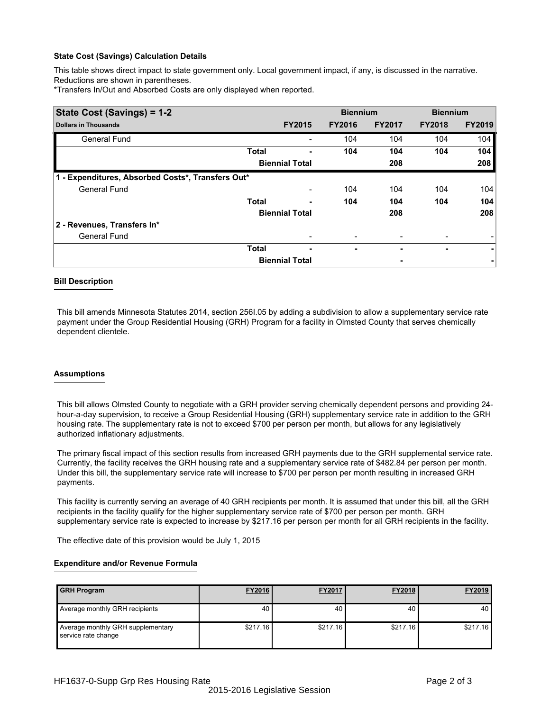### **State Cost (Savings) Calculation Details**

This table shows direct impact to state government only. Local government impact, if any, is discussed in the narrative. Reductions are shown in parentheses.

\*Transfers In/Out and Absorbed Costs are only displayed when reported.

| State Cost (Savings) = 1-2                        |              |                       | <b>Biennium</b> |               | <b>Biennium</b> |               |  |
|---------------------------------------------------|--------------|-----------------------|-----------------|---------------|-----------------|---------------|--|
| <b>Dollars in Thousands</b>                       |              | <b>FY2015</b>         | <b>FY2016</b>   | <b>FY2017</b> | <b>FY2018</b>   | <b>FY2019</b> |  |
| <b>General Fund</b>                               |              |                       | 104             | 104           | 104             | 104           |  |
|                                                   | <b>Total</b> |                       | 104             | 104           | 104             | 104           |  |
|                                                   |              | <b>Biennial Total</b> |                 | 208           |                 | 208           |  |
| 1 - Expenditures, Absorbed Costs*, Transfers Out* |              |                       |                 |               |                 |               |  |
| <b>General Fund</b>                               |              |                       | 104             | 104           | 104             | 104           |  |
|                                                   | <b>Total</b> | ۰                     | 104             | 104           | 104             | 104           |  |
|                                                   |              | <b>Biennial Total</b> |                 | 208           |                 | 208           |  |
| 2 - Revenues, Transfers In*                       |              |                       |                 |               |                 |               |  |
| <b>General Fund</b>                               |              |                       |                 |               |                 |               |  |
|                                                   | <b>Total</b> | ٠                     | ٠               |               | ٠               | ۰             |  |
|                                                   |              | <b>Biennial Total</b> |                 | ٠             |                 |               |  |

#### **Bill Description**

This bill amends Minnesota Statutes 2014, section 256I.05 by adding a subdivision to allow a supplementary service rate payment under the Group Residential Housing (GRH) Program for a facility in Olmsted County that serves chemically dependent clientele.

#### **Assumptions**

This bill allows Olmsted County to negotiate with a GRH provider serving chemically dependent persons and providing 24 hour-a-day supervision, to receive a Group Residential Housing (GRH) supplementary service rate in addition to the GRH housing rate. The supplementary rate is not to exceed \$700 per person per month, but allows for any legislatively authorized inflationary adjustments.

The primary fiscal impact of this section results from increased GRH payments due to the GRH supplemental service rate. Currently, the facility receives the GRH housing rate and a supplementary service rate of \$482.84 per person per month. Under this bill, the supplementary service rate will increase to \$700 per person per month resulting in increased GRH payments.

This facility is currently serving an average of 40 GRH recipients per month. It is assumed that under this bill, all the GRH recipients in the facility qualify for the higher supplementary service rate of \$700 per person per month. GRH supplementary service rate is expected to increase by \$217.16 per person per month for all GRH recipients in the facility.

The effective date of this provision would be July 1, 2015

### **Expenditure and/or Revenue Formula**

| <b>GRH Program</b>                                       | <b>FY2016</b> | <b>FY2017</b> | <b>FY2018</b> | FY2019   |
|----------------------------------------------------------|---------------|---------------|---------------|----------|
| Average monthly GRH recipients                           | 40            | 40            | 40            | 40       |
| Average monthly GRH supplementary<br>service rate change | \$217.16      | \$217.16      | \$217.16      | \$217.16 |